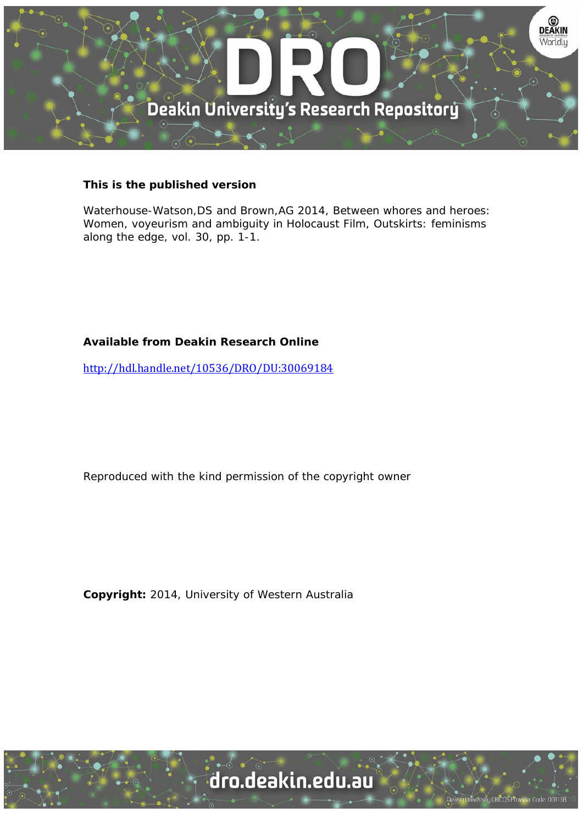

## **This is the published version**

Waterhouse-Watson,DS and Brown,AG 2014, Between whores and heroes: Women, voyeurism and ambiguity in Holocaust Film, Outskirts: feminisms along the edge, vol. 30, pp. 1-1.

# **Available from Deakin Research Online**

http://hdl.handle.net/10536/DRO/DU:30069184

Reproduced with the kind permission of the copyright owner

**Copyright:** 2014, University of Western Australia

University CRICOS Provider Code: 00113B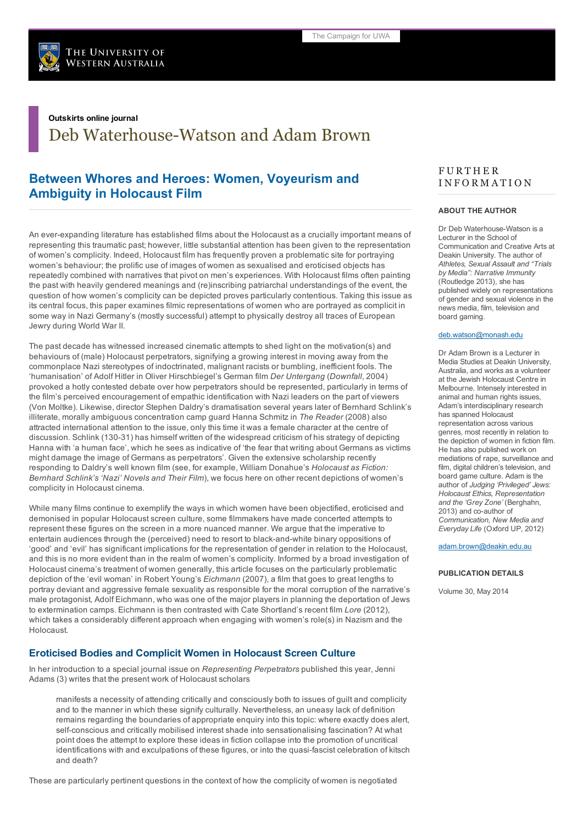

## Outskirts online journal

Deb Waterhouse-Watson and Adam Brown

# Between Whores and Heroes: Women, Voyeurism and Ambiguity in Holocaust Film

An ever-expanding literature has established films about the Holocaust as a crucially important means of representing this traumatic past; however, little substantial attention has been given to the representation of women's complicity. Indeed, Holocaust film has frequently proven a problematic site for portraying women's behaviour; the prolific use of images of women as sexualised and eroticised objects has repeatedly combined with narratives that pivot on men's experiences. With Holocaust films often painting the past with heavily gendered meanings and (re)inscribing patriarchal understandings of the event, the question of how women's complicity can be depicted proves particularly contentious. Taking this issue as its central focus, this paper examines filmic representations of women who are portrayed as complicit in some way in Nazi Germany's (mostly successful) attempt to physically destroy all traces of European Jewry during World War II.

The past decade has witnessed increased cinematic attempts to shed light on the motivation(s) and behaviours of (male) Holocaust perpetrators, signifying a growing interest in moving away from the commonplace Nazi stereotypes of indoctrinated, malignant racists or bumbling, inefficient fools. The 'humanisation' of Adolf Hitler in Oliver Hirschbiegel's German film *Der Untergang* (*Downfall*, 2004) provoked a hotly contested debate over how perpetrators should be represented, particularly in terms of the film's perceived encouragement of empathic identification with Nazi leaders on the part of viewers (Von Moltke). Likewise, director Stephen Daldry's dramatisation several years later of Bernhard Schlink's illiterate, morally ambiguous concentration camp guard Hanna Schmitz in *The Reader* (2008) also attracted international attention to the issue, only this time it was a female character at the centre of discussion. Schlink (130-31) has himself written of the widespread criticism of his strategy of depicting Hanna with 'a human face', which he sees as indicative of 'the fear that writing about Germans as victims might damage the image of Germans as perpetrators'. Given the extensive scholarship recently responding to Daldry's well known film (see, for example, William Donahue's *Holocaust as Fiction: Bernhard Schlink's 'Nazi' Novels and Their Film*), we focus here on other recent depictions of women's complicity in Holocaust cinema.

While many films continue to exemplify the ways in which women have been objectified, eroticised and demonised in popular Holocaust screen culture, some filmmakers have made concerted attempts to represent these figures on the screen in a more nuanced manner. We argue that the imperative to entertain audiences through the (perceived) need to resort to black-and-white binary oppositions of 'good' and 'evil' has significant implications for the representation of gender in relation to the Holocaust, and this is no more evident than in the realm of women's complicity. Informed by a broad investigation of Holocaust cinema's treatment of women generally, this article focuses on the particularly problematic depiction of the 'evil woman' in Robert Young's *Eichmann* (2007), a film that goes to great lengths to portray deviant and aggressive female sexuality as responsible for the moral corruption of the narrative's male protagonist, Adolf Eichmann, who was one of the major players in planning the deportation of Jews to extermination camps. Eichmann is then contrasted with Cate Shortland's recent film *Lore* (2012), which takes a considerably different approach when engaging with women's role(s) in Nazism and the Holocaust.

## Eroticised Bodies and Complicit Women in Holocaust Screen Culture

In her introduction to a special journal issue on *Representing Perpetrators* published this year, Jenni Adams (3) writes that the present work of Holocaust scholars

manifests a necessity of attending critically and consciously both to issues of guilt and complicity and to the manner in which these signify culturally. Nevertheless, an uneasy lack of definition remains regarding the boundaries of appropriate enquiry into this topic: where exactly does alert, self-conscious and critically mobilised interest shade into sensationalising fascination? At what point does the attempt to explore these ideas in fiction collapse into the promotion of uncritical identifications with and exculpations of these figures, or into the quasi-fascist celebration of kitsch and death?

These are particularly pertinent questions in the context of how the complicity of women is negotiated

## **FURTHER** I N F O R M A T I O N

### ABOUT THE AUTHOR

Dr Deb Waterhouse-Watson is a Lecturer in the School of Communication and Creative Arts at Deakin University. The author of *Athletes, Sexual Assault and "Trials by Media": Narrative Immunity* (Routledge 2013), she has published widely on representations of gender and sexual violence in the news media, film, television and board gaming.

#### [deb.watson@monash.edu](mailto:deb.watson@monash.edu)

Dr Adam Brown is a Lecturer in Media Studies at Deakin University, Australia, and works as a volunteer at the Jewish Holocaust Centre in Melbourne. Intensely interested in animal and human rights issues, Adam's interdisciplinary research has spanned Holocaust representation across various genres, most recently in relation to the depiction of women in fiction film. He has also published work on mediations of rape, surveillance and film, digital children's television, and board game culture. Adam is the author of *Judging 'Privileged' Jews: Holocaust Ethics, Representation and the 'Grey Zone'* (Berghahn, 2013) and co-author of *Communication, New Media and Everyday Life* (Oxford UP, 2012)

#### [adam.brown@deakin.edu.au](mailto:adam.brown@deakin.edu.au)

#### PUBLICATION DETAILS

Volume 30, May 2014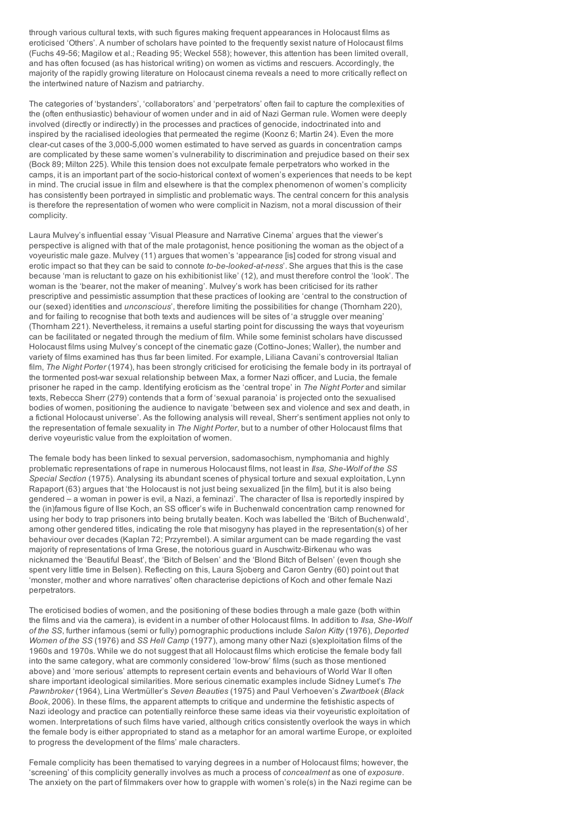through various cultural texts, with such figures making frequent appearances in Holocaust films as eroticised 'Others'. A number of scholars have pointed to the frequently sexist nature of Holocaust films (Fuchs 4956; Magilow et al.; Reading 95; Weckel 558); however, this attention has been limited overall, and has often focused (as has historical writing) on women as victims and rescuers. Accordingly, the majority of the rapidly growing literature on Holocaust cinema reveals a need to more critically reflect on the intertwined nature of Nazism and patriarchy.

The categories of 'bystanders', 'collaborators' and 'perpetrators' often fail to capture the complexities of the (often enthusiastic) behaviour of women under and in aid of Nazi German rule. Women were deeply involved (directly or indirectly) in the processes and practices of genocide, indoctrinated into and inspired by the racialised ideologies that permeated the regime (Koonz 6; Martin 24). Even the more clear-cut cases of the 3,000-5,000 women estimated to have served as guards in concentration camps are complicated by these same women's vulnerability to discrimination and prejudice based on their sex (Bock 89; Milton 225). While this tension does not exculpate female perpetrators who worked in the camps, it is an important part of the socio-historical context of women's experiences that needs to be kept in mind. The crucial issue in film and elsewhere is that the complex phenomenon of women's complicity has consistently been portrayed in simplistic and problematic ways. The central concern for this analysis is therefore the representation of women who were complicit in Nazism, not a moral discussion of their complicity.

Laura Mulvey's influential essay 'Visual Pleasure and Narrative Cinema' argues that the viewer's perspective is aligned with that of the male protagonist, hence positioning the woman as the object of a voyeuristic male gaze. Mulvey (11) argues that women's 'appearance [is] coded for strong visual and erotic impact so that they can be said to connote to-be-looked-at-ness'. She argues that this is the case because 'man is reluctant to gaze on his exhibitionist like' (12), and must therefore control the 'look'. The woman is the 'bearer, not the maker of meaning'. Mulvey's work has been criticised for its rather prescriptive and pessimistic assumption that these practices of looking are 'central to the construction of our (sexed) identities and *unconscious*', therefore limiting the possibilities for change (Thornham 220), and for failing to recognise that both texts and audiences will be sites of 'a struggle over meaning' (Thornham 221). Nevertheless, it remains a useful starting point for discussing the ways that voyeurism can be facilitated or negated through the medium of film. While some feminist scholars have discussed Holocaust films using Mulvey's concept of the cinematic gaze (Cottino-Jones; Waller), the number and variety of films examined has thus far been limited. For example, Liliana Cavani's controversial Italian film, *The Night Porter* (1974), has been strongly criticised for eroticising the female body in its portrayal of the tormented post-war sexual relationship between Max, a former Nazi officer, and Lucia, the female prisoner he raped in the camp. Identifying eroticism as the 'central trope' in *The Night Porter* and similar texts, Rebecca Sherr (279) contends that a form of 'sexual paranoia' is projected onto the sexualised bodies of women, positioning the audience to navigate 'between sex and violence and sex and death, in a fictional Holocaust universe'. As the following analysis will reveal, Sherr's sentiment applies not only to the representation of female sexuality in *The Night Porter*, but to a number of other Holocaust films that derive voyeuristic value from the exploitation of women.

The female body has been linked to sexual perversion, sadomasochism, nymphomania and highly problematic representations of rape in numerous Holocaust films, not least in *Ilsa, SheWolf of the SS Special Section* (1975). Analysing its abundant scenes of physical torture and sexual exploitation, Lynn Rapaport (63) argues that 'the Holocaust is not just being sexualized [in the film], but it is also being gendered – a woman in power is evil, a Nazi, a feminazi'. The character of Ilsa is reportedly inspired by the (in)famous figure of Ilse Koch, an SS officer's wife in Buchenwald concentration camp renowned for using her body to trap prisoners into being brutally beaten. Koch was labelled the 'Bitch of Buchenwald', among other gendered titles, indicating the role that misogyny has played in the representation(s) of her behaviour over decades (Kaplan 72; Przyrembel). A similar argument can be made regarding the vast majority of representations of Irma Grese, the notorious quard in Auschwitz-Birkenau who was nicknamed the 'Beautiful Beast', the 'Bitch of Belsen' and the 'Blond Bitch of Belsen' (even though she spent very little time in Belsen). Reflecting on this, Laura Sjoberg and Caron Gentry (60) point out that 'monster, mother and whore narratives' often characterise depictions of Koch and other female Nazi perpetrators.

The eroticised bodies of women, and the positioning of these bodies through a male gaze (both within the films and via the camera), is evident in a number of other Holocaust films. In addition to *Ilsa, She-Wolf of the SS*, further infamous (semi or fully) pornographic productions include *Salon Kitty* (1976), *Deported Women of the SS* (1976) and *SS Hell Camp* (1977), among many other Nazi (s)exploitation films of the 1960s and 1970s. While we do not suggest that all Holocaust films which eroticise the female body fall into the same category, what are commonly considered 'low-brow' films (such as those mentioned above) and 'more serious' attempts to represent certain events and behaviours of World War II often share important ideological similarities. More serious cinematic examples include Sidney Lumet's *The Pawnbroker* (1964), Lina Wertmüller's *Seven Beauties* (1975) and Paul Verhoeven's *Zwartboek* (*Black Book*, 2006). In these films, the apparent attempts to critique and undermine the fetishistic aspects of Nazi ideology and practice can potentially reinforce these same ideas via their voyeuristic exploitation of women. Interpretations of such films have varied, although critics consistently overlook the ways in which the female body is either appropriated to stand as a metaphor for an amoral wartime Europe, or exploited to progress the development of the films' male characters.

Female complicity has been thematised to varying degrees in a number of Holocaust films; however, the 'screening' of this complicity generally involves as much a process of *concealment* as one of *exposure*. The anxiety on the part of filmmakers over how to grapple with women's role(s) in the Nazi regime can be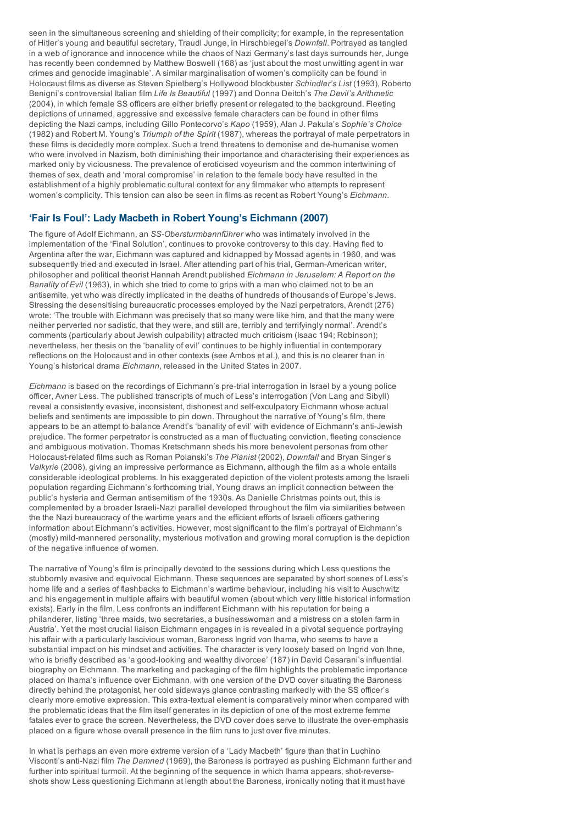seen in the simultaneous screening and shielding of their complicity; for example, in the representation of Hitler's young and beautiful secretary, Traudl Junge, in Hirschbiegel's *Downfall*. Portrayed as tangled in a web of ignorance and innocence while the chaos of Nazi Germany's last days surrounds her, Junge has recently been condemned by Matthew Boswell (168) as 'just about the most unwitting agent in war crimes and genocide imaginable'. A similar marginalisation of women's complicity can be found in Holocaust films as diverse as Steven Spielberg's Hollywood blockbuster *Schindler's List* (1993), Roberto Benigni's controversial Italian film *Life Is Beautiful* (1997) and Donna Deitch's *The Devil's Arithmetic* (2004), in which female SS officers are either briefly present or relegated to the background. Fleeting depictions of unnamed, aggressive and excessive female characters can be found in other films depicting the Nazi camps, including Gillo Pontecorvo's *Kapo* (1959), Alan J. Pakula's *Sophie's Choice* (1982) and Robert M. Young's *Triumph of the Spirit* (1987), whereas the portrayal of male perpetrators in these films is decidedly more complex. Such a trend threatens to demonise and de-humanise women who were involved in Nazism, both diminishing their importance and characterising their experiences as marked only by viciousness. The prevalence of eroticised voyeurism and the common intertwining of themes of sex, death and 'moral compromise' in relation to the female body have resulted in the establishment of a highly problematic cultural context for any filmmaker who attempts to represent women's complicity. This tension can also be seen in films as recent as Robert Young's *Eichmann*.

## 'Fair Is Foul': Lady Macbeth in Robert Young's Eichmann (2007)

The figure of Adolf Eichmann, an *SS-Obersturmbannführer* who was intimately involved in the implementation of the 'Final Solution', continues to provoke controversy to this day. Having fled to Argentina after the war, Eichmann was captured and kidnapped by Mossad agents in 1960, and was subsequently tried and executed in Israel. After attending part of his trial, German-American writer, philosopher and political theorist Hannah Arendt published *Eichmann in Jerusalem: A Report on the Banality of Evil* (1963), in which she tried to come to grips with a man who claimed not to be an antisemite, yet who was directly implicated in the deaths of hundreds of thousands of Europe's Jews. Stressing the desensitising bureaucratic processes employed by the Nazi perpetrators, Arendt (276) wrote: 'The trouble with Eichmann was precisely that so many were like him, and that the many were neither perverted nor sadistic, that they were, and still are, terribly and terrifyingly normal'. Arendt's comments (particularly about Jewish culpability) attracted much criticism (Isaac 194; Robinson); nevertheless, her thesis on the 'banality of evil' continues to be highly influential in contemporary reflections on the Holocaust and in other contexts (see Ambos et al.), and this is no clearer than in Young's historical drama *Eichmann*, released in the United States in 2007.

*Eichmann* is based on the recordings of Eichmann's pre-trial interrogation in Israel by a young police officer, Avner Less. The published transcripts of much of Less's interrogation (Von Lang and Sibyll) reveal a consistently evasive, inconsistent, dishonest and selfexculpatory Eichmann whose actual beliefs and sentiments are impossible to pin down. Throughout the narrative of Young's film, there appears to be an attempt to balance Arendt's 'banality of evil' with evidence of Eichmann's anti-Jewish prejudice. The former perpetrator is constructed as a man of fluctuating conviction, fleeting conscience and ambiguous motivation. Thomas Kretschmann sheds his more benevolent personas from other Holocaustrelated films such as Roman Polanski's *The Pianist* (2002), *Downfall* and Bryan Singer's *Valkyrie* (2008), giving an impressive performance as Eichmann, although the film as a whole entails considerable ideological problems. In his exaggerated depiction of the violent protests among the Israeli population regarding Eichmann's forthcoming trial, Young draws an implicit connection between the public's hysteria and German antisemitism of the 1930s. As Danielle Christmas points out, this is complemented by a broader Israeli-Nazi parallel developed throughout the film via similarities between the the Nazi bureaucracy of the wartime years and the efficient efforts of Israeli officers gathering information about Eichmann's activities. However, most significant to the film's portrayal of Eichmann's (mostly) mild-mannered personality, mysterious motivation and growing moral corruption is the depiction of the negative influence of women.

The narrative of Young's film is principally devoted to the sessions during which Less questions the stubbornly evasive and equivocal Eichmann. These sequences are separated by short scenes of Less's home life and a series of flashbacks to Eichmann's wartime behaviour, including his visit to Auschwitz and his engagement in multiple affairs with beautiful women (about which very little historical information exists). Early in the film, Less confronts an indifferent Eichmann with his reputation for being a philanderer, listing 'three maids, two secretaries, a businesswoman and a mistress on a stolen farm in Austria'. Yet the most crucial liaison Eichmann engages in is revealed in a pivotal sequence portraying his affair with a particularly lascivious woman, Baroness Ingrid von Ihama, who seems to have a substantial impact on his mindset and activities. The character is very loosely based on Ingrid von Ihne, who is briefly described as 'a good-looking and wealthy divorcee' (187) in David Cesarani's influential biography on Eichmann. The marketing and packaging of the film highlights the problematic importance placed on Ihama's influence over Eichmann, with one version of the DVD cover situating the Baroness directly behind the protagonist, her cold sideways glance contrasting markedly with the SS officer's clearly more emotive expression. This extra-textual element is comparatively minor when compared with the problematic ideas that the film itself generates in its depiction of one of the most extreme femme fatales ever to grace the screen. Nevertheless, the DVD cover does serve to illustrate the over-emphasis placed on a figure whose overall presence in the film runs to just over five minutes.

In what is perhaps an even more extreme version of a 'Lady Macbeth' figure than that in Luchino Visconti's anti-Nazi film *The Damned* (1969), the Baroness is portrayed as pushing Eichmann further and further into spiritual turmoil. At the beginning of the sequence in which Ihama appears, shot-reverseshots show Less questioning Eichmann at length about the Baroness, ironically noting that it must have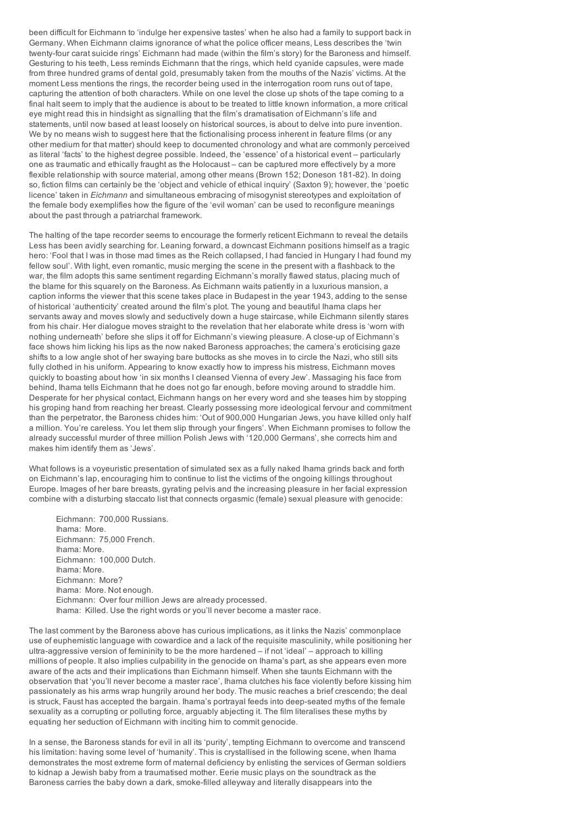been difficult for Eichmann to 'indulge her expensive tastes' when he also had a family to support back in Germany. When Eichmann claims ignorance of what the police officer means, Less describes the 'twin twenty-four carat suicide rings' Eichmann had made (within the film's story) for the Baroness and himself. Gesturing to his teeth, Less reminds Eichmann that the rings, which held cyanide capsules, were made from three hundred grams of dental gold, presumably taken from the mouths of the Nazis' victims. At the moment Less mentions the rings, the recorder being used in the interrogation room runs out of tape, capturing the attention of both characters. While on one level the close up shots of the tape coming to a final halt seem to imply that the audience is about to be treated to little known information, a more critical eye might read this in hindsight as signalling that the film's dramatisation of Eichmann's life and statements, until now based at least loosely on historical sources, is about to delve into pure invention. We by no means wish to suggest here that the fictionalising process inherent in feature films (or any other medium for that matter) should keep to documented chronology and what are commonly perceived as literal 'facts' to the highest degree possible. Indeed, the 'essence' of a historical event – particularly one as traumatic and ethically fraught as the Holocaust – can be captured more effectively by a more flexible relationship with source material, among other means (Brown 152; Doneson 181-82). In doing so, fiction films can certainly be the 'object and vehicle of ethical inquiry' (Saxton 9); however, the 'poetic licence' taken in *Eichmann* and simultaneous embracing of misogynist stereotypes and exploitation of the female body exemplifies how the figure of the 'evil woman' can be used to reconfigure meanings about the past through a patriarchal framework.

The halting of the tape recorder seems to encourage the formerly reticent Eichmann to reveal the details Less has been avidly searching for. Leaning forward, a downcast Eichmann positions himself as a tragic hero: 'Fool that I was in those mad times as the Reich collapsed, I had fancied in Hungary I had found my fellow soul'. With light, even romantic, music merging the scene in the present with a flashback to the war, the film adopts this same sentiment regarding Eichmann's morally flawed status, placing much of the blame for this squarely on the Baroness. As Eichmann waits patiently in a luxurious mansion, a caption informs the viewer that this scene takes place in Budapest in the year 1943, adding to the sense of historical 'authenticity' created around the film's plot. The young and beautiful Ihama claps her servants away and moves slowly and seductively down a huge staircase, while Eichmann silently stares from his chair. Her dialogue moves straight to the revelation that her elaborate white dress is 'worn with nothing underneath' before she slips it off for Eichmann's viewing pleasure. A close-up of Eichmann's face shows him licking his lips as the now naked Baroness approaches; the camera's eroticising gaze shifts to a low angle shot of her swaying bare buttocks as she moves in to circle the Nazi, who still sits fully clothed in his uniform. Appearing to know exactly how to impress his mistress, Eichmann moves quickly to boasting about how 'in six months I cleansed Vienna of every Jew'. Massaging his face from behind, Ihama tells Eichmann that he does not go far enough, before moving around to straddle him. Desperate for her physical contact, Eichmann hangs on her every word and she teases him by stopping his groping hand from reaching her breast. Clearly possessing more ideological fervour and commitment than the perpetrator, the Baroness chides him: 'Out of 900,000 Hungarian Jews, you have killed only half a million. You're careless. You let them slip through your fingers'. When Eichmann promises to follow the already successful murder of three million Polish Jews with '120,000 Germans', she corrects him and makes him identify them as 'Jews'.

What follows is a voyeuristic presentation of simulated sex as a fully naked Ihama grinds back and forth on Eichmann's lap, encouraging him to continue to list the victims of the ongoing killings throughout Europe. Images of her bare breasts, gyrating pelvis and the increasing pleasure in her facial expression combine with a disturbing staccato list that connects orgasmic (female) sexual pleasure with genocide:

Eichmann: 700,000 Russians. Ihama: More. Eichmann: 75,000 French. Ihama: More. Eichmann: 100,000 Dutch. Ihama: More. Eichmann: More? Ihama: More. Not enough. Eichmann: Over four million Jews are already processed. Ihama: Killed. Use the right words or you'll never become a master race.

The last comment by the Baroness above has curious implications, as it links the Nazis' commonplace use of euphemistic language with cowardice and a lack of the requisite masculinity, while positioning her ultra-aggressive version of femininity to be the more hardened – if not 'ideal' – approach to killing millions of people. It also implies culpability in the genocide on Ihama's part, as she appears even more aware of the acts and their implications than Eichmann himself. When she taunts Eichmann with the observation that 'you'll never become a master race', Ihama clutches his face violently before kissing him passionately as his arms wrap hungrily around her body. The music reaches a brief crescendo; the deal is struck, Faust has accepted the bargain. Ihama's portrayal feeds into deep-seated myths of the female sexuality as a corrupting or polluting force, arguably abjecting it. The film literalises these myths by equating her seduction of Eichmann with inciting him to commit genocide.

In a sense, the Baroness stands for evil in all its 'purity', tempting Eichmann to overcome and transcend his limitation: having some level of 'humanity'. This is crystallised in the following scene, when Ihama demonstrates the most extreme form of maternal deficiency by enlisting the services of German soldiers to kidnap a Jewish baby from a traumatised mother. Eerie music plays on the soundtrack as the Baroness carries the baby down a dark, smoke-filled alleyway and literally disappears into the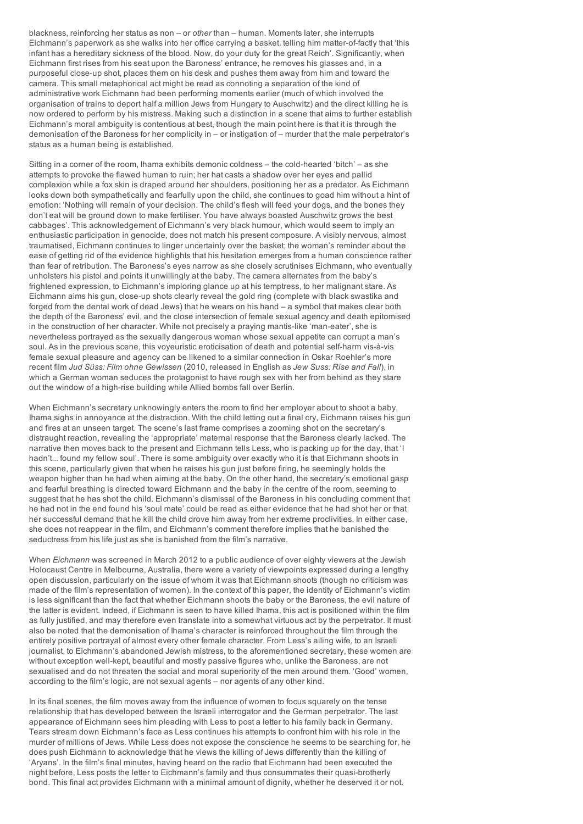blackness, reinforcing her status as non – or *other* than – human. Moments later, she interrupts Eichmann's paperwork as she walks into her office carrying a basket, telling him matter-of-factly that 'this infant has a hereditary sickness of the blood. Now, do your duty for the great Reich'. Significantly, when Eichmann first rises from his seat upon the Baroness' entrance, he removes his glasses and, in a purposeful close-up shot, places them on his desk and pushes them away from him and toward the camera. This small metaphorical act might be read as connoting a separation of the kind of administrative work Eichmann had been performing moments earlier (much of which involved the organisation of trains to deport half a million Jews from Hungary to Auschwitz) and the direct killing he is now ordered to perform by his mistress. Making such a distinction in a scene that aims to further establish Eichmann's moral ambiguity is contentious at best, though the main point here is that it is through the demonisation of the Baroness for her complicity in – or instigation of – murder that the male perpetrator's status as a human being is established.

Sitting in a corner of the room, Ihama exhibits demonic coldness  $-$  the cold-hearted 'bitch'  $-$  as she attempts to provoke the flawed human to ruin; her hat casts a shadow over her eyes and pallid complexion while a fox skin is draped around her shoulders, positioning her as a predator. As Eichmann looks down both sympathetically and fearfully upon the child, she continues to goad him without a hint of emotion: 'Nothing will remain of your decision. The child's flesh will feed your dogs, and the bones they don't eat will be ground down to make fertiliser. You have always boasted Auschwitz grows the best cabbages'. This acknowledgement of Eichmann's very black humour, which would seem to imply an enthusiastic participation in genocide, does not match his present composure. A visibly nervous, almost traumatised, Eichmann continues to linger uncertainly over the basket; the woman's reminder about the ease of getting rid of the evidence highlights that his hesitation emerges from a human conscience rather than fear of retribution. The Baroness's eyes narrow as she closely scrutinises Eichmann, who eventually unholsters his pistol and points it unwillingly at the baby. The camera alternates from the baby's frightened expression, to Eichmann's imploring glance up at his temptress, to her malignant stare. As Eichmann aims his gun, close-up shots clearly reveal the gold ring (complete with black swastika and forged from the dental work of dead Jews) that he wears on his hand – a symbol that makes clear both the depth of the Baroness' evil, and the close intersection of female sexual agency and death epitomised in the construction of her character. While not precisely a praying mantis-like 'man-eater', she is nevertheless portrayed as the sexually dangerous woman whose sexual appetite can corrupt a man's soul. As in the previous scene, this voyeuristic eroticisation of death and potential self-harm vis-à-vis female sexual pleasure and agency can be likened to a similar connection in Oskar Roehler's more recent film *Jud Süss: Film ohne Gewissen* (2010, released in English as *Jew Suss: Rise and Fall*), in which a German woman seduces the protagonist to have rough sex with her from behind as they stare out the window of a high-rise building while Allied bombs fall over Berlin.

When Eichmann's secretary unknowingly enters the room to find her employer about to shoot a baby, Ihama sighs in annoyance at the distraction. With the child letting out a final cry, Eichmann raises his gun and fires at an unseen target. The scene's last frame comprises a zooming shot on the secretary's distraught reaction, revealing the 'appropriate' maternal response that the Baroness clearly lacked. The narrative then moves back to the present and Eichmann tells Less, who is packing up for the day, that 'I hadn't... found my fellow soul'. There is some ambiguity over exactly who it is that Eichmann shoots in this scene, particularly given that when he raises his gun just before firing, he seemingly holds the weapon higher than he had when aiming at the baby. On the other hand, the secretary's emotional gasp and fearful breathing is directed toward Eichmann and the baby in the centre of the room, seeming to suggest that he has shot the child. Eichmann's dismissal of the Baroness in his concluding comment that he had not in the end found his 'soul mate' could be read as either evidence that he had shot her or that her successful demand that he kill the child drove him away from her extreme proclivities. In either case, she does not reappear in the film, and Eichmann's comment therefore implies that he banished the seductress from his life just as she is banished from the film's narrative.

When *Eichmann* was screened in March 2012 to a public audience of over eighty viewers at the Jewish Holocaust Centre in Melbourne, Australia, there were a variety of viewpoints expressed during a lengthy open discussion, particularly on the issue of whom it was that Eichmann shoots (though no criticism was made of the film's representation of women). In the context of this paper, the identity of Eichmann's victim is less significant than the fact that whether Eichmann shoots the baby or the Baroness, the evil nature of the latter is evident. Indeed, if Eichmann is seen to have killed Ihama, this act is positioned within the film as fully justified, and may therefore even translate into a somewhat virtuous act by the perpetrator. It must also be noted that the demonisation of Ihama's character is reinforced throughout the film through the entirely positive portrayal of almost every other female character. From Less's ailing wife, to an Israeli journalist, to Eichmann's abandoned Jewish mistress, to the aforementioned secretary, these women are without exception well-kept, beautiful and mostly passive figures who, unlike the Baroness, are not sexualised and do not threaten the social and moral superiority of the men around them. 'Good' women, according to the film's logic, are not sexual agents – nor agents of any other kind.

In its final scenes, the film moves away from the influence of women to focus squarely on the tense relationship that has developed between the Israeli interrogator and the German perpetrator. The last appearance of Eichmann sees him pleading with Less to post a letter to his family back in Germany. Tears stream down Eichmann's face as Less continues his attempts to confront him with his role in the murder of millions of Jews. While Less does not expose the conscience he seems to be searching for, he does push Eichmann to acknowledge that he views the killing of Jews differently than the killing of 'Aryans'. In the film's final minutes, having heard on the radio that Eichmann had been executed the night before, Less posts the letter to Eichmann's family and thus consummates their quasi-brotherly bond. This final act provides Eichmann with a minimal amount of dignity, whether he deserved it or not.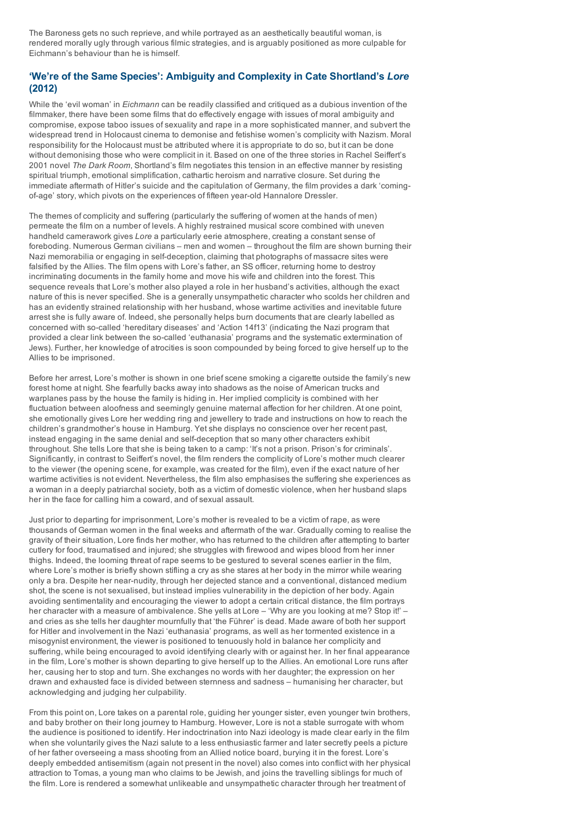The Baroness gets no such reprieve, and while portrayed as an aesthetically beautiful woman, is rendered morally ugly through various filmic strategies, and is arguably positioned as more culpable for Eichmann's behaviour than he is himself.

## 'We're of the Same Species': Ambiguity and Complexity in Cate Shortland's *Lore* (2012)

While the 'evil woman' in *Eichmann* can be readily classified and critiqued as a dubious invention of the filmmaker, there have been some films that do effectively engage with issues of moral ambiguity and compromise, expose taboo issues of sexuality and rape in a more sophisticated manner, and subvert the widespread trend in Holocaust cinema to demonise and fetishise women's complicity with Nazism. Moral responsibility for the Holocaust must be attributed where it is appropriate to do so, but it can be done without demonising those who were complicit in it. Based on one of the three stories in Rachel Seiffert's 2001 novel *The Dark Room*, Shortland's film negotiates this tension in an effective manner by resisting spiritual triumph, emotional simplification, cathartic heroism and narrative closure. Set during the immediate aftermath of Hitler's suicide and the capitulation of Germany, the film provides a dark 'comingof-age' story, which pivots on the experiences of fifteen year-old Hannalore Dressler.

The themes of complicity and suffering (particularly the suffering of women at the hands of men) permeate the film on a number of levels. A highly restrained musical score combined with uneven handheld camerawork gives *Lore* a particularly eerie atmosphere, creating a constant sense of foreboding. Numerous German civilians – men and women – throughout the film are shown burning their Nazi memorabilia or engaging in self-deception, claiming that photographs of massacre sites were falsified by the Allies. The film opens with Lore's father, an SS officer, returning home to destroy incriminating documents in the family home and move his wife and children into the forest. This sequence reveals that Lore's mother also played a role in her husband's activities, although the exact nature of this is never specified. She is a generally unsympathetic character who scolds her children and has an evidently strained relationship with her husband, whose wartime activities and inevitable future arrest she is fully aware of. Indeed, she personally helps burn documents that are clearly labelled as concerned with so-called 'hereditary diseases' and 'Action 14f13' (indicating the Nazi program that provided a clear link between the so-called 'euthanasia' programs and the systematic extermination of Jews). Further, her knowledge of atrocities is soon compounded by being forced to give herself up to the Allies to be imprisoned.

Before her arrest, Lore's mother is shown in one brief scene smoking a cigarette outside the family's new forest home at night. She fearfully backs away into shadows as the noise of American trucks and warplanes pass by the house the family is hiding in. Her implied complicity is combined with her fluctuation between aloofness and seemingly genuine maternal affection for her children. At one point, she emotionally gives Lore her wedding ring and jewellery to trade and instructions on how to reach the children's grandmother's house in Hamburg. Yet she displays no conscience over her recent past, instead engaging in the same denial and self-deception that so many other characters exhibit throughout. She tells Lore that she is being taken to a camp: 'It's not a prison. Prison's for criminals'. Significantly, in contrast to Seiffert's novel, the film renders the complicity of Lore's mother much clearer to the viewer (the opening scene, for example, was created for the film), even if the exact nature of her wartime activities is not evident. Nevertheless, the film also emphasises the suffering she experiences as a woman in a deeply patriarchal society, both as a victim of domestic violence, when her husband slaps her in the face for calling him a coward, and of sexual assault.

Just prior to departing for imprisonment, Lore's mother is revealed to be a victim of rape, as were thousands of German women in the final weeks and aftermath of the war. Gradually coming to realise the gravity of their situation, Lore finds her mother, who has returned to the children after attempting to barter cutlery for food, traumatised and injured; she struggles with firewood and wipes blood from her inner thighs. Indeed, the looming threat of rape seems to be gestured to several scenes earlier in the film, where Lore's mother is briefly shown stifling a cry as she stares at her body in the mirror while wearing only a bra. Despite her near-nudity, through her dejected stance and a conventional, distanced medium shot, the scene is not sexualised, but instead implies vulnerability in the depiction of her body. Again avoiding sentimentality and encouraging the viewer to adopt a certain critical distance, the film portrays her character with a measure of ambivalence. She yells at Lore – 'Why are you looking at me? Stop it!' – and cries as she tells her daughter mournfully that 'the Führer' is dead. Made aware of both her support for Hitler and involvement in the Nazi 'euthanasia' programs, as well as her tormented existence in a misogynist environment, the viewer is positioned to tenuously hold in balance her complicity and suffering, while being encouraged to avoid identifying clearly with or against her. In her final appearance in the film, Lore's mother is shown departing to give herself up to the Allies. An emotional Lore runs after her, causing her to stop and turn. She exchanges no words with her daughter; the expression on her drawn and exhausted face is divided between sternness and sadness – humanising her character, but acknowledging and judging her culpability.

From this point on, Lore takes on a parental role, guiding her younger sister, even younger twin brothers, and baby brother on their long journey to Hamburg. However, Lore is not a stable surrogate with whom the audience is positioned to identify. Her indoctrination into Nazi ideology is made clear early in the film when she voluntarily gives the Nazi salute to a less enthusiastic farmer and later secretly peels a picture of her father overseeing a mass shooting from an Allied notice board, burying it in the forest. Lore's deeply embedded antisemitism (again not present in the novel) also comes into conflict with her physical attraction to Tomas, a young man who claims to be Jewish, and joins the travelling siblings for much of the film. Lore is rendered a somewhat unlikeable and unsympathetic character through her treatment of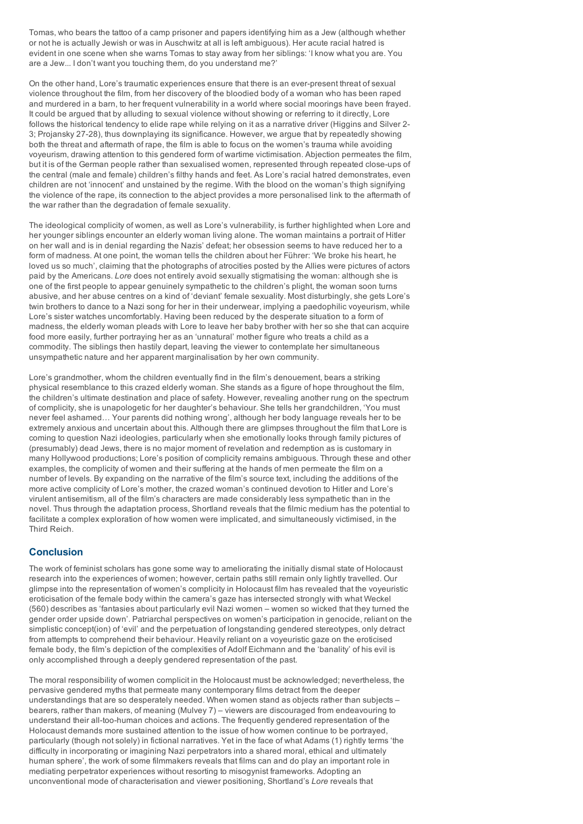Tomas, who bears the tattoo of a camp prisoner and papers identifying him as a Jew (although whether or not he is actually Jewish or was in Auschwitz at all is left ambiguous). Her acute racial hatred is evident in one scene when she warns Tomas to stay away from her siblings: 'I know what you are. You are a Jew... I don't want you touching them, do you understand me?'

On the other hand, Lore's traumatic experiences ensure that there is an ever-present threat of sexual violence throughout the film, from her discovery of the bloodied body of a woman who has been raped and murdered in a barn, to her frequent vulnerability in a world where social moorings have been frayed. It could be argued that by alluding to sexual violence without showing or referring to it directly, Lore follows the historical tendency to elide rape while relying on it as a narrative driver (Higgins and Silver 2-3; Projansky 27-28), thus downplaying its significance. However, we argue that by repeatedly showing both the threat and aftermath of rape, the film is able to focus on the women's trauma while avoiding voyeurism, drawing attention to this gendered form of wartime victimisation. Abjection permeates the film, but it is of the German people rather than sexualised women, represented through repeated close-ups of the central (male and female) children's filthy hands and feet. As Lore's racial hatred demonstrates, even children are not 'innocent' and unstained by the regime. With the blood on the woman's thigh signifying the violence of the rape, its connection to the abject provides a more personalised link to the aftermath of the war rather than the degradation of female sexuality.

The ideological complicity of women, as well as Lore's vulnerability, is further highlighted when Lore and her younger siblings encounter an elderly woman living alone. The woman maintains a portrait of Hitler on her wall and is in denial regarding the Nazis' defeat; her obsession seems to have reduced her to a form of madness. At one point, the woman tells the children about her Führer: 'We broke his heart, he loved us so much', claiming that the photographs of atrocities posted by the Allies were pictures of actors paid by the Americans. *Lore* does not entirely avoid sexually stigmatising the woman: although she is one of the first people to appear genuinely sympathetic to the children's plight, the woman soon turns abusive, and her abuse centres on a kind of 'deviant' female sexuality. Most disturbingly, she gets Lore's twin brothers to dance to a Nazi song for her in their underwear, implying a paedophilic voyeurism, while Lore's sister watches uncomfortably. Having been reduced by the desperate situation to a form of madness, the elderly woman pleads with Lore to leave her baby brother with her so she that can acquire food more easily, further portraying her as an 'unnatural' mother figure who treats a child as a commodity. The siblings then hastily depart, leaving the viewer to contemplate her simultaneous unsympathetic nature and her apparent marginalisation by her own community.

Lore's grandmother, whom the children eventually find in the film's denouement, bears a striking physical resemblance to this crazed elderly woman. She stands as a figure of hope throughout the film, the children's ultimate destination and place of safety. However, revealing another rung on the spectrum of complicity, she is unapologetic for her daughter's behaviour. She tells her grandchildren, 'You must never feel ashamed… Your parents did nothing wrong', although her body language reveals her to be extremely anxious and uncertain about this. Although there are glimpses throughout the film that Lore is coming to question Nazi ideologies, particularly when she emotionally looks through family pictures of (presumably) dead Jews, there is no major moment of revelation and redemption as is customary in many Hollywood productions; Lore's position of complicity remains ambiguous. Through these and other examples, the complicity of women and their suffering at the hands of men permeate the film on a number of levels. By expanding on the narrative of the film's source text, including the additions of the more active complicity of Lore's mother, the crazed woman's continued devotion to Hitler and Lore's virulent antisemitism, all of the film's characters are made considerably less sympathetic than in the novel. Thus through the adaptation process, Shortland reveals that the filmic medium has the potential to facilitate a complex exploration of how women were implicated, and simultaneously victimised, in the Third Reich.

## **Conclusion**

The work of feminist scholars has gone some way to ameliorating the initially dismal state of Holocaust research into the experiences of women; however, certain paths still remain only lightly travelled. Our glimpse into the representation of women's complicity in Holocaust film has revealed that the voyeuristic eroticisation of the female body within the camera's gaze has intersected strongly with what Weckel (560) describes as 'fantasies about particularly evil Nazi women – women so wicked that they turned the gender order upside down'. Patriarchal perspectives on women's participation in genocide, reliant on the simplistic concept(ion) of 'evil' and the perpetuation of longstanding gendered stereotypes, only detract from attempts to comprehend their behaviour. Heavily reliant on a voyeuristic gaze on the eroticised female body, the film's depiction of the complexities of Adolf Eichmann and the 'banality' of his evil is only accomplished through a deeply gendered representation of the past.

The moral responsibility of women complicit in the Holocaust must be acknowledged; nevertheless, the pervasive gendered myths that permeate many contemporary films detract from the deeper understandings that are so desperately needed. When women stand as objects rather than subjects – bearers, rather than makers, of meaning (Mulvey 7) – viewers are discouraged from endeavouring to understand their all-too-human choices and actions. The frequently gendered representation of the Holocaust demands more sustained attention to the issue of how women continue to be portrayed, particularly (though not solely) in fictional narratives. Yet in the face of what Adams (1) rightly terms 'the difficulty in incorporating or imagining Nazi perpetrators into a shared moral, ethical and ultimately human sphere', the work of some filmmakers reveals that films can and do play an important role in mediating perpetrator experiences without resorting to misogynist frameworks. Adopting an unconventional mode of characterisation and viewer positioning, Shortland's *Lore* reveals that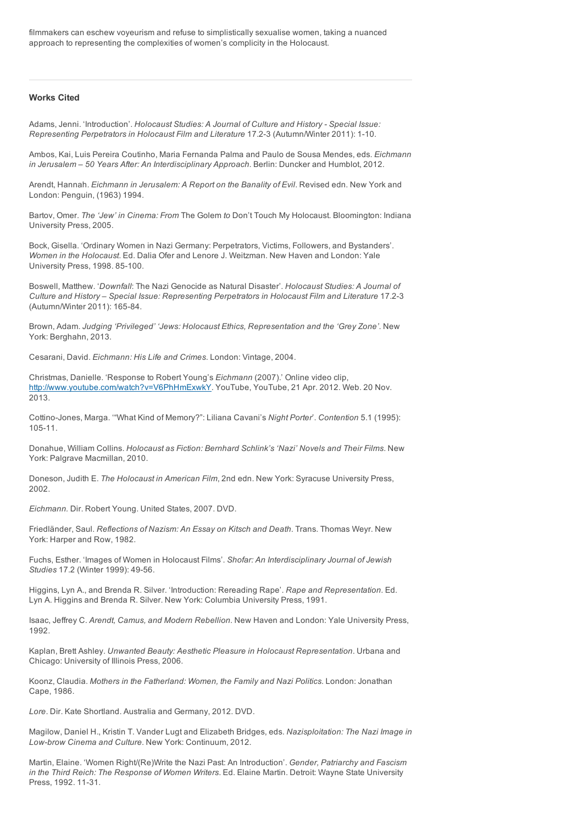filmmakers can eschew voyeurism and refuse to simplistically sexualise women, taking a nuanced approach to representing the complexities of women's complicity in the Holocaust.

### Works Cited

Adams, Jenni. 'Introduction'. *Holocaust Studies: A Journal of Culture and History Special Issue: Representing Perpetrators in Holocaust Film and Literature* 17.23 (Autumn/Winter 2011): 110.

Ambos, Kai, Luis Pereira Coutinho, Maria Fernanda Palma and Paulo de Sousa Mendes, eds. *Eichmann in Jerusalem – 50 Years After: An Interdisciplinary Approach*. Berlin: Duncker and Humblot, 2012.

Arendt, Hannah. *Eichmann in Jerusalem: A Report on the Banality of Evil*. Revised edn. New York and London: Penguin, (1963) 1994.

Bartov, Omer. *The 'Jew' in Cinema: From* The Golem *to* Don't Touch My Holocaust. Bloomington: Indiana University Press, 2005.

Bock, Gisella. 'Ordinary Women in Nazi Germany: Perpetrators, Victims, Followers, and Bystanders'. *Women in the Holocaust*. Ed. Dalia Ofer and Lenore J. Weitzman. New Haven and London: Yale University Press, 1998. 85-100.

Boswell, Matthew. '*Downfall*: The Nazi Genocide as Natural Disaster'. *Holocaust Studies: A Journal of Culture and History – Special Issue: Representing Perpetrators in Holocaust Film and Literature* 17.23 (Autumn/Winter 2011): 165-84.

Brown, Adam. *Judging 'Privileged' 'Jews: Holocaust Ethics, Representation and the 'Grey Zone'*. New York: Berghahn, 2013.

Cesarani, David. *Eichmann: His Life and Crimes*. London: Vintage, 2004.

Christmas, Danielle. 'Response to Robert Young's *Eichmann* (2007).' Online video clip, <http://www.youtube.com/watch?v=V6PhHmExwkY>. YouTube, YouTube, 21 Apr. 2012. Web. 20 Nov. 2013.

CottinoJones, Marga. '"What Kind of Memory?": Liliana Cavani's *Night Porter*'. *Contention* 5.1 (1995): 105-11.

Donahue, William Collins. *Holocaust as Fiction: Bernhard Schlink's 'Nazi' Novels and Their Films*. New York: Palgrave Macmillan, 2010.

Doneson, Judith E. *The Holocaust in American Film*, 2nd edn. New York: Syracuse University Press, 2002.

*Eichmann.* Dir. Robert Young. United States, 2007. DVD.

Friedländer, Saul. *Reflections of Nazism: An Essay on Kitsch and Death*. Trans. Thomas Weyr. New York: Harper and Row, 1982.

Fuchs, Esther. 'Images of Women in Holocaust Films'. *Shofar: An Interdisciplinary Journal of Jewish Studies* 17.2 (Winter 1999): 49-56.

Higgins, Lyn A., and Brenda R. Silver. 'Introduction: Rereading Rape'. *Rape and Representation*. Ed. Lyn A. Higgins and Brenda R. Silver. New York: Columbia University Press, 1991.

Isaac, Jeffrey C. *Arendt, Camus, and Modern Rebellion*. New Haven and London: Yale University Press, 1992.

Kaplan, Brett Ashley. *Unwanted Beauty: Aesthetic Pleasure in Holocaust Representation*. Urbana and Chicago: University of Illinois Press, 2006.

Koonz, Claudia. *Mothers in the Fatherland: Women, the Family and Nazi Politics*. London: Jonathan Cape, 1986.

*Lore*. Dir. Kate Shortland. Australia and Germany, 2012. DVD.

Magilow, Daniel H., Kristin T. Vander Lugt and Elizabeth Bridges, eds. *Nazisploitation: The Nazi Image in* Low-brow Cinema and Culture. New York: Continuum, 2012.

Martin, Elaine. 'Women Right/(Re)Write the Nazi Past: An Introduction'. *Gender, Patriarchy and Fascism in the Third Reich: The Response of Women Writers*. Ed. Elaine Martin. Detroit: Wayne State University Press, 1992. 11-31.